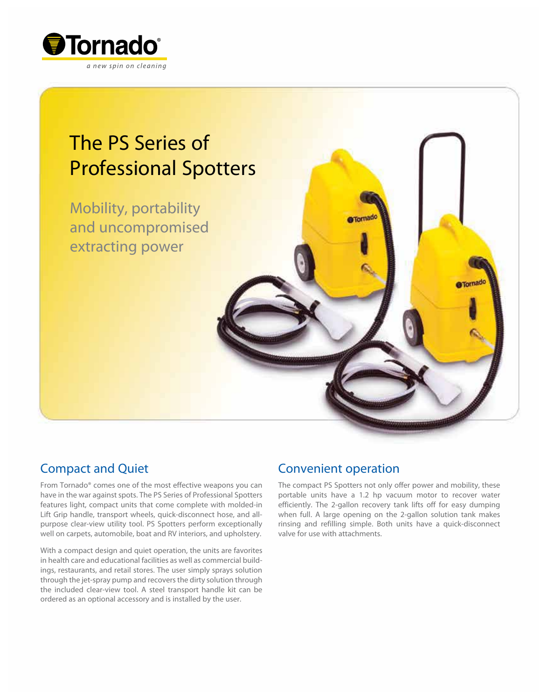

# The PS Series of Professional Spotters

Mobility, portability and uncompromised extracting power

## Compact and Quiet

From Tornado® comes one of the most effective weapons you can have in the war against spots. The PS Series of Professional Spotters features light, compact units that come complete with molded-in Lift Grip handle, transport wheels, quick-disconnect hose, and allpurpose clear-view utility tool. PS Spotters perform exceptionally well on carpets, automobile, boat and RV interiors, and upholstery.

With a compact design and quiet operation, the units are favorites in health care and educational facilities as well as commercial buildings, restaurants, and retail stores. The user simply sprays solution through the jet-spray pump and recovers the dirty solution through the included clear-view tool. A steel transport handle kit can be ordered as an optional accessory and is installed by the user.

## Convenient operation

The compact PS Spotters not only offer power and mobility, these portable units have a 1.2 hp vacuum motor to recover water efficiently. The 2-gallon recovery tank lifts off for easy dumping when full. A large opening on the 2-gallon solution tank makes rinsing and refilling simple. Both units have a quick-disconnect valve for use with attachments.